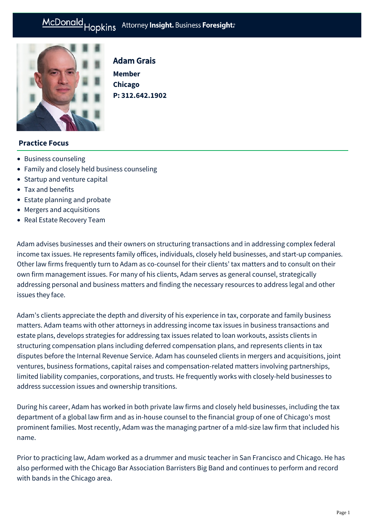#### Hopkins Attorney Insight. Business Foresight: McDonald



# Adam Grais

**Member Chicago P: [312.642.1902](tel:312.642.1902)**

## **Practice Focus**

- [Business counseling](https://mcdonaldhopkins.com/Expertise/Business-counseling)
- [Family and closely held business counseling](https://mcdonaldhopkins.com/Expertise/Business-counseling/Family-and-closely-held-business-counseling)
- [Startup and venture capital](https://mcdonaldhopkins.com/Expertise/Business-counseling/Startup-and-venture-capital)
- [Tax and benefits](https://mcdonaldhopkins.com/Expertise/Tax-and-benefits)
- [Estate planning and probate](https://mcdonaldhopkins.com/Expertise/Estate-planning-and-probate)
- [Mergers and acquisitions](https://mcdonaldhopkins.com/Expertise/Mergers-and-acquisitions)
- [Real Estate Recovery Team](https://mcdonaldhopkins.com/Expertise/Real-estate/Real-Estate-Recovery-Team)

Adam advises businesses and their owners on structuring transactions and in addressing complex federal income tax issues. He represents family offices, individuals, closely held businesses, and start-up companies. Other law firms frequently turn to Adam as co-counsel for their clients' tax matters and to consult on their own firm management issues. For many of his clients, Adam serves as general counsel, strategically addressing personal and business matters and finding the necessary resources to address legal and other issues they face.

Adam's clients appreciate the depth and diversity of his experience in tax, corporate and family business matters. Adam teams with other attorneys in addressing income tax issues in business transactions and estate plans, develops strategies for addressing tax issues related to loan workouts, assists clients in structuring compensation plans including deferred compensation plans, and represents clients in tax disputes before the Internal Revenue Service. Adam has counseled clients in mergers and acquisitions, joint ventures, business formations, capital raises and compensation-related matters involving partnerships, limited liability companies, corporations, and trusts. He frequently works with closely-held businesses to address succession issues and ownership transitions.

During his career, Adam has worked in both private law firms and closely held businesses, including the tax department of a global law firm and as in-house counsel to the financial group of one of Chicago's most prominent families. Most recently, Adam was the managing partner of a mId-size law firm that included his name.

Prior to practicing law, Adam worked as a drummer and music teacher in San Francisco and Chicago. He has also performed with the Chicago Bar Association Barristers Big Band and continues to perform and record with bands in the Chicago area.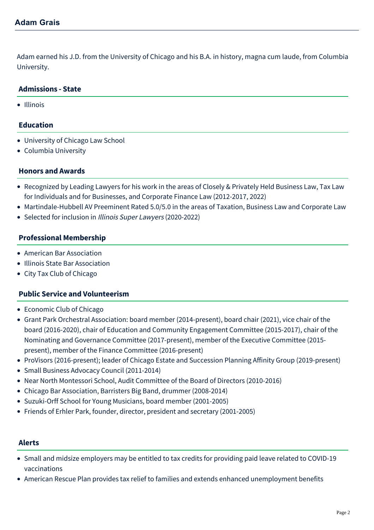Adam earned his J.D. from the University of Chicago and his B.A. in history, magna cum laude, from Columbia University.

#### **Admissions - State**

• Illinois

## **Education**

- University of Chicago Law School
- Columbia University

## **Honors and Awards**

- Recognized by Leading Lawyers for his work in the areas of Closely & Privately Held Business Law, Tax Law for Individuals and for Businesses, and Corporate Finance Law (2012-2017, 2022)
- Martindale-Hubbell AV Preeminent Rated 5.0/5.0 in the areas of Taxation, Business Law and Corporate Law
- Selected for inclusion in Illinois Super Lawyers (2020-2022)

#### **Professional Membership**

- American Bar Association
- Illinois State Bar Association
- City Tax Club of Chicago

#### **Public Service and Volunteerism**

- Economic Club of Chicago
- Grant Park Orchestral Association: board member (2014-present), board chair (2021), vice chair of the board (2016-2020), chair of Education and Community Engagement Committee (2015-2017), chair of the Nominating and Governance Committee (2017-present), member of the Executive Committee (2015 present), member of the Finance Committee (2016-present)
- ProVisors (2016-present); leader of Chicago Estate and Succession Planning Affinity Group (2019-present)
- Small Business Advocacy Council (2011-2014)
- Near North Montessori School, Audit Committee of the Board of Directors (2010-2016)
- Chicago Bar Association, Barristers Big Band, drummer (2008-2014)
- Suzuki-Orff School for Young Musicians, board member (2001-2005)
- Friends of Erhler Park, founder, director, president and secretary (2001-2005)

#### **Alerts**

- [Small and midsize employers may be entitled to tax credits for providing paid leave related to COVID-19](https://mcdonaldhopkins.com/Insights/April-2021/Small-and-midsize-employers-may-be-entitled-to-tax) vaccinations
- [American Rescue Plan provides tax relief to families and extends enhanced unemployment benefits](https://mcdonaldhopkins.com/Insights/March-2021/Tax-provisions-in-American-Rescue-Plan-provide-rel)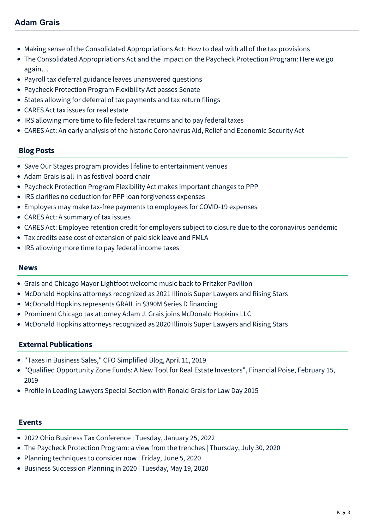# **Adam Grais**

- [Making sense of the Consolidated Appropriations Act: How to deal with all of the tax provisions](https://mcdonaldhopkins.com/Insights/January-2021/Making-sense-of-the-Consolidated-Appropriations-Ac)
- [The Consolidated Appropriations Act and the impact on the Paycheck Protection Program: Here we go](https://mcdonaldhopkins.com/Insights/December-2020/The-Consolidated-Appropriations-Act-and-the-impact) again…
- [Payroll tax deferral guidance leaves unanswered questions](https://mcdonaldhopkins.com/Insights/September-2020/Payroll-tax-deferral-guidance-leaves-unanswered-qu)
- [Paycheck Protection Program Flexibility Act passes Senate](https://mcdonaldhopkins.com/Insights/June-2020-(1)/Paycheck-Protection-Program-Flexibility-Act-passes)
- [States allowing for deferral of tax payments and tax return filings](https://mcdonaldhopkins.com/Insights/March-2020/States-allowing-for-deferral-of-tax-payments-and-t)
- [CARES Act tax issues for real estate](https://mcdonaldhopkins.com/Insights/April-2020/CARES-Act-tax-issues-for-real-estate)
- [IRS allowing more time to file federal tax returns and to pay federal taxes](https://mcdonaldhopkins.com/Insights/March-2020/IRS-allowing-more-time-to-file-federal-tax-returns)
- [CARES Act: An early analysis of the historic Coronavirus Aid, Relief and Economic Security Act](https://mcdonaldhopkins.com/Insights/March-2020/CARES-ACT-overview)

#### **Blog Posts**

- [Save Our Stages program provides lifeline to entertainment venues](https://mcdonaldhopkins.com/Insights/February-2021/Save-Our-Stages-program-provides-lifeline-to-enter)
- [Adam Grais is all-in as festival board chair](https://mcdonaldhopkins.com/Insights/January-2021/Adam-Grais-is-all-in-as-festival-board-chair)
- [Paycheck Protection Program Flexibility Act makes important changes to PPP](https://mcdonaldhopkins.com/Insights/June-2020-(1)/PPPFA-makes-important-changes-to-PPP)
- [IRS clarifies no deduction for PPP loan forgiveness expenses](https://mcdonaldhopkins.com/Insights/May-2020/IRS-clarifies-no-deduction-for-PPP-loan-forgivenes)
- [Employers may make tax-free payments to employees for COVID-19 expenses](https://mcdonaldhopkins.com/Insights/April-2020/Employers-may-make-tax-free-payments)
- [CARES Act: A summary of tax issues](https://mcdonaldhopkins.com/Insights/March-2020/CARES-Act-A-summary-of-tax-issues)
- [CARES Act: Employee retention credit for employers subject to closure due to the coronavirus pandemic](https://mcdonaldhopkins.com/Insights/March-2020/CARES-ACT-Employee-retention-credit-for-employers)
- [Tax credits ease cost of extension of paid sick leave and FMLA](https://mcdonaldhopkins.com/Insights/March-2020/Tax-credits-ease-cost-of-extension-of-paid-sick-le)
- [IRS allowing more time to pay federal income taxes](https://mcdonaldhopkins.com/Insights/March-2020/Treasury-Secretary-announces-more-time-to-pay-fede)

#### **News**

- [Grais and Chicago Mayor Lightfoot welcome music back to Pritzker Pavilion](https://mcdonaldhopkins.com/Insights/July-2021/Grais-and-Chicago-Mayor-Lightfoot-welcome-music-ba)
- [McDonald Hopkins attorneys recognized as 2021 Illinois Super Lawyers and Rising Stars](https://mcdonaldhopkins.com/Insights/January-2021/McDonald-Hopkins-attorneys-recognized-as-2021-Illi)
- [McDonald Hopkins represents GRAIL in \\$390M Series D financing](https://mcdonaldhopkins.com/Insights/May-2020/McDonald-Hopkins-represents-GRAIL-in-390M-Series-D)
- [Prominent Chicago tax attorney Adam J. Grais joins McDonald Hopkins LLC](https://mcdonaldhopkins.com/Insights/February-2020/Prominent-Chicago-tax-attorney-Adam-J-Grais-joins-)
- [McDonald Hopkins attorneys recognized as 2020 Illinois Super Lawyers and Rising Stars](https://mcdonaldhopkins.com/Insights/February-2020/McDonald-Hopkins-attorneys-recognized-as-2020-Illi)

#### **External Publications**

- "[Taxes in Business Sales](https://cfosimplified.com/taxes-in-business-sales/)," CFO Simplified Blog, April 11, 2019
- "[Qualified Opportunity Zone Funds: A New Tool for Real Estate Investors"](https://www.financialpoise.com/qualified-opportunity-zone-funds/), Financial Poise, February 15, 2019
- [Profile in Leading Lawyers Special Section with Ronald Grais for Law Day 2015](http://www.leadinglawyers.com/articles/Grais_Law%20Day.pdf)

#### **Events**

- [2022 Ohio Business Tax Conference | Tuesday, January 25, 2022](https://mcdonaldhopkins.com/Events/2022/2022-Ohio-Business-Tax-Conference)
- [The Paycheck Protection Program: a view from the trenches | Thursday, July 30, 2020](https://mcdonaldhopkins.com/Events/2020/PPP-a-view-from-the-trenches)
- [Planning techniques to consider now | Friday, June 5, 2020](https://mcdonaldhopkins.com/Events/2020/Planning-techniques-to-consider-now)
- [Business Succession Planning in 2020 | Tuesday, May 19, 2020](https://mcdonaldhopkins.com/Events/2020/Business-Succession-Planning-in-2020)